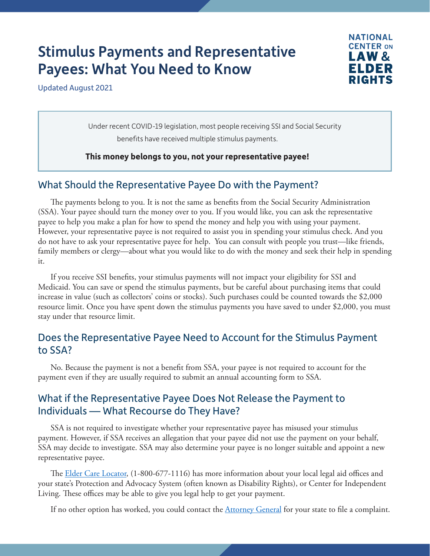# Stimulus Payments and Representative Payees: What You Need to Know



Updated August 2021

Under recent COVID-19 legislation, most people receiving SSI and Social Security benefits have received multiple stimulus payments.

**This money belongs to you, not your representative payee!**

#### What Should the Representative Payee Do with the Payment?

The payments belong to you. It is not the same as benefits from the Social Security Administration (SSA). Your payee should turn the money over to you. If you would like, you can ask the representative payee to help you make a plan for how to spend the money and help you with using your payment. However, your representative payee is not required to assist you in spending your stimulus check. And you do not have to ask your representative payee for help. You can consult with people you trust—like friends, family members or clergy—about what you would like to do with the money and seek their help in spending it.

If you receive SSI benefits, your stimulus payments will not impact your eligibility for SSI and Medicaid. You can save or spend the stimulus payments, but be careful about purchasing items that could increase in value (such as collectors' coins or stocks). Such purchases could be counted towards the \$2,000 resource limit. Once you have spent down the stimulus payments you have saved to under \$2,000, you must stay under that resource limit.

### Does the Representative Payee Need to Account for the Stimulus Payment to SSA?

No. Because the payment is not a benefit from SSA, your payee is not required to account for the payment even if they are usually required to submit an annual accounting form to SSA.

### What if the Representative Payee Does Not Release the Payment to Individuals — What Recourse do They Have?

SSA is not required to investigate whether your representative payee has misused your stimulus payment. However, if SSA receives an allegation that your payee did not use the payment on your behalf, SSA may decide to investigate. SSA may also determine your payee is no longer suitable and appoint a new representative payee.

The [Elder Care Locator,](https://eldercare.acl.gov/Public/Index.aspx) (1-800-677-1116) has more information about your local legal aid offices and your state's Protection and Advocacy System (often known as Disability Rights), or Center for Independent Living. These offices may be able to give you legal help to get your payment.

If no other option has worked, you could contact the **[Attorney General](https://www.naag.org/find-my-ag/)** for your state to file a complaint.